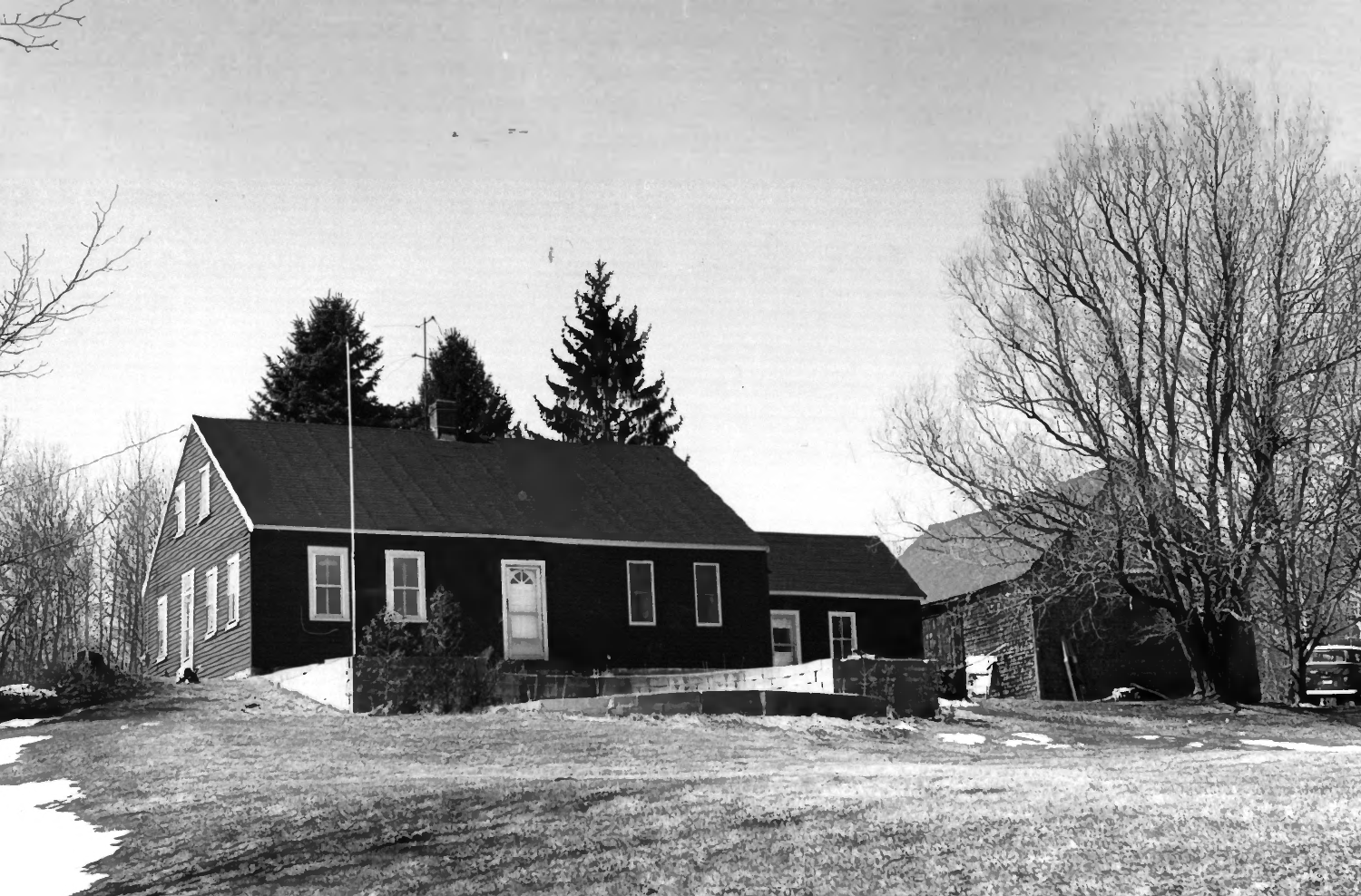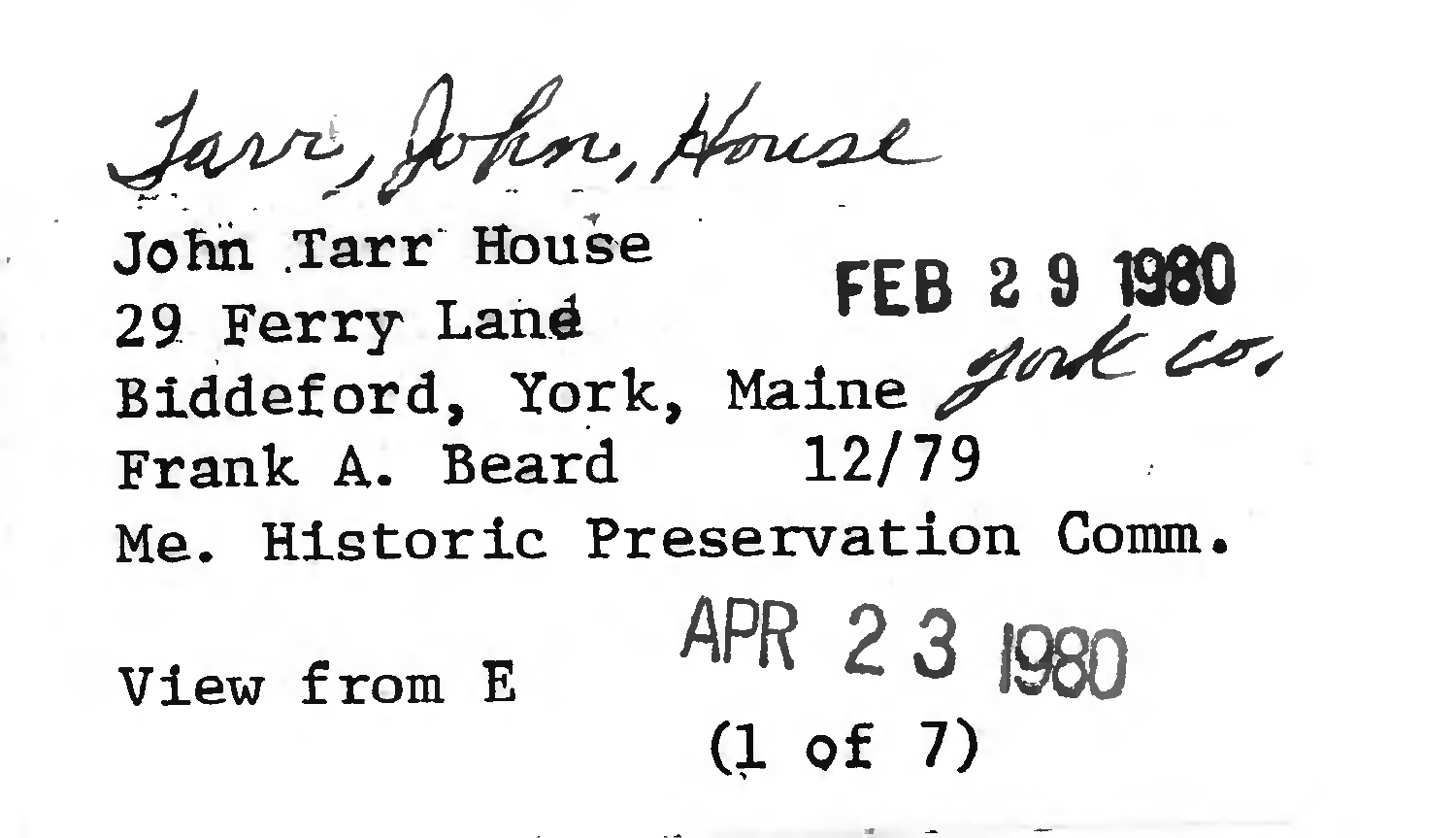Java, John, House

John Tarr House **CCD 9 9 1980**  29 Ferry Land rtD 6 Biddeford, York, Maine Frank A. Beard 12/79 Me. Historic Preservation Comm. View from E  $APR$  2 3 1980  $(1 of 7)$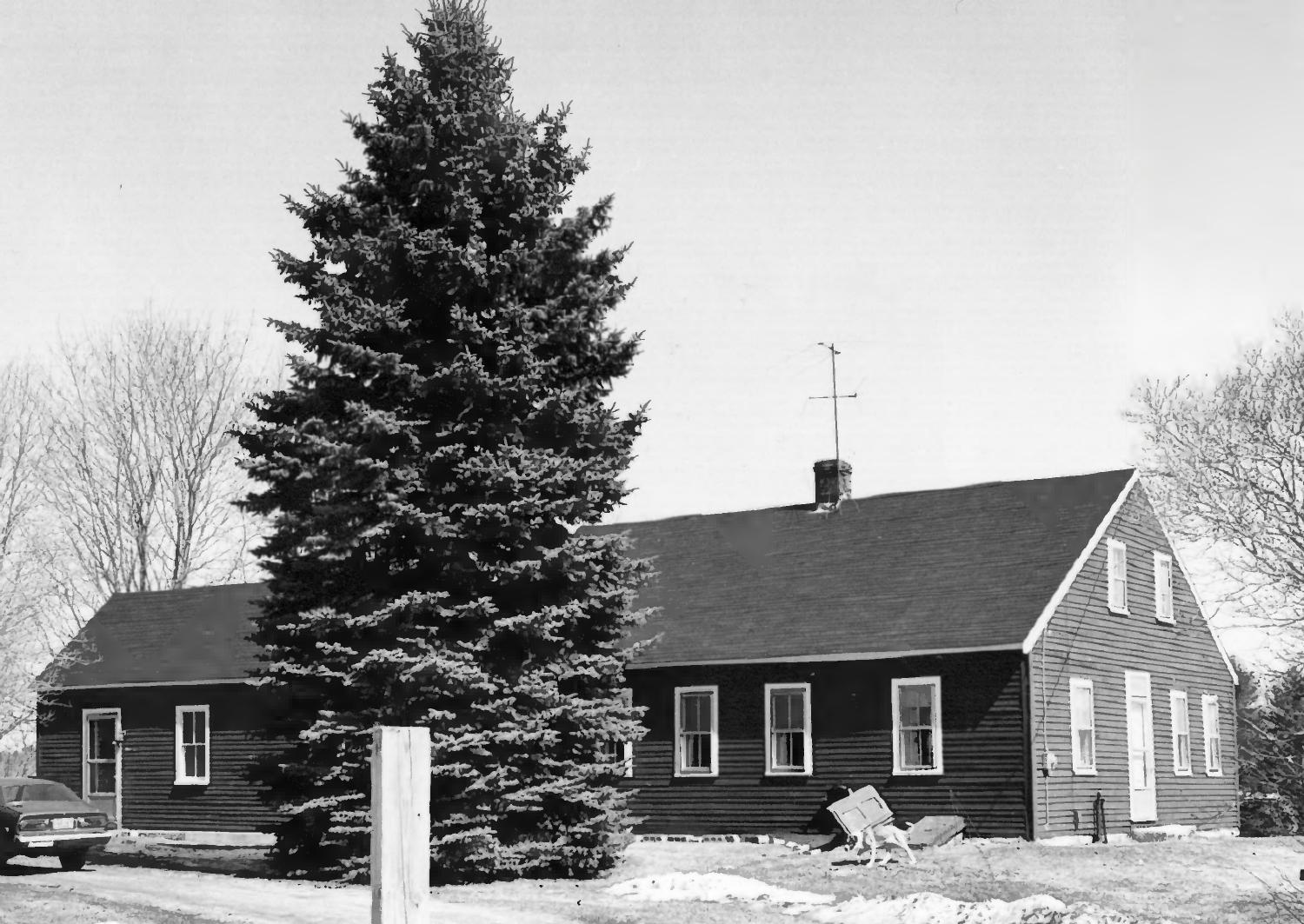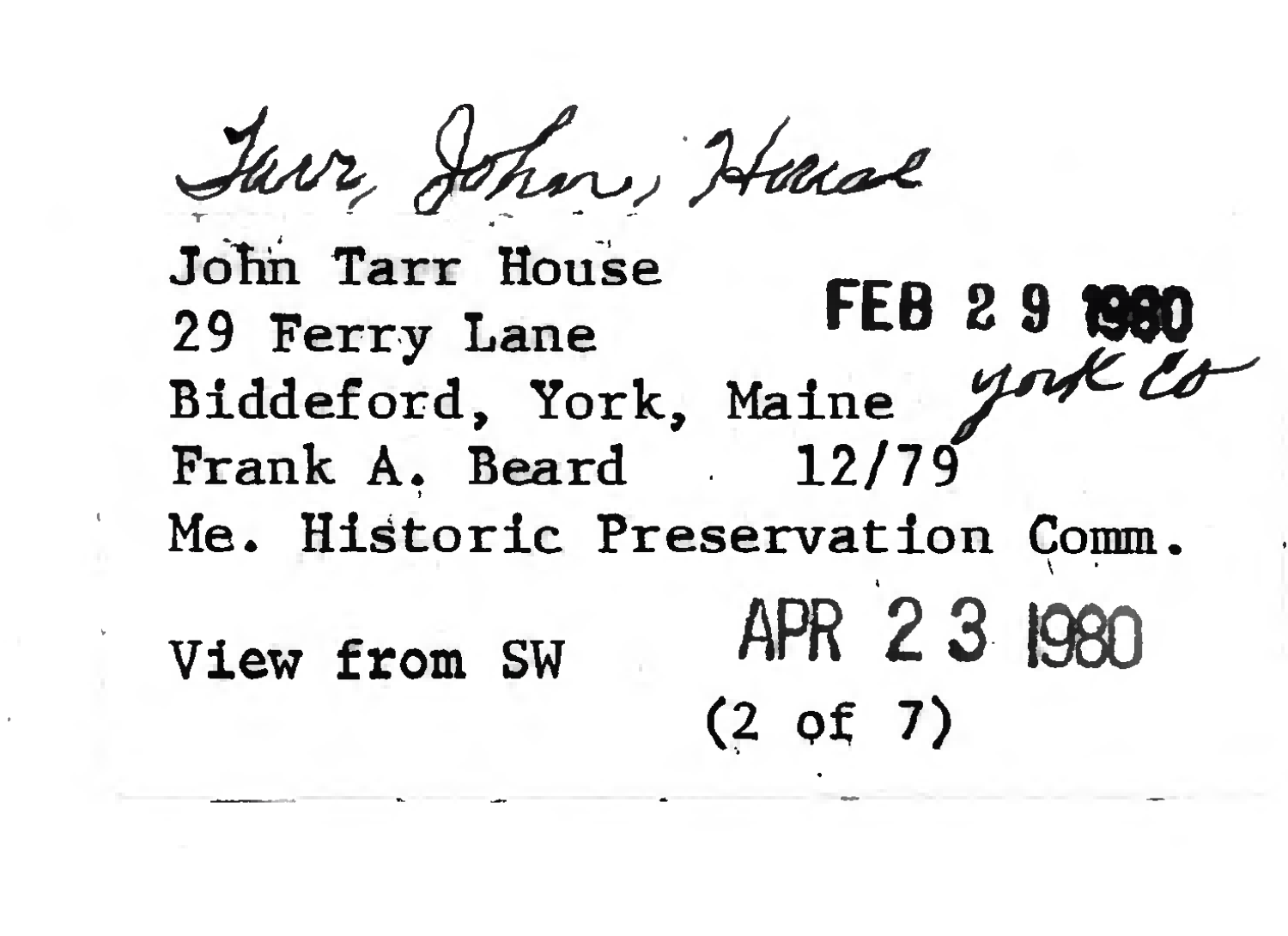Tarr, John, Hard

John Tarr House 29 Ferry Lane FEB Biddeford, York, Maine Frank A. Beard 12/79 Me. Historic Preservation Comm. View from  $SW$   $APR$  2 3 1980  $(2 of 7)$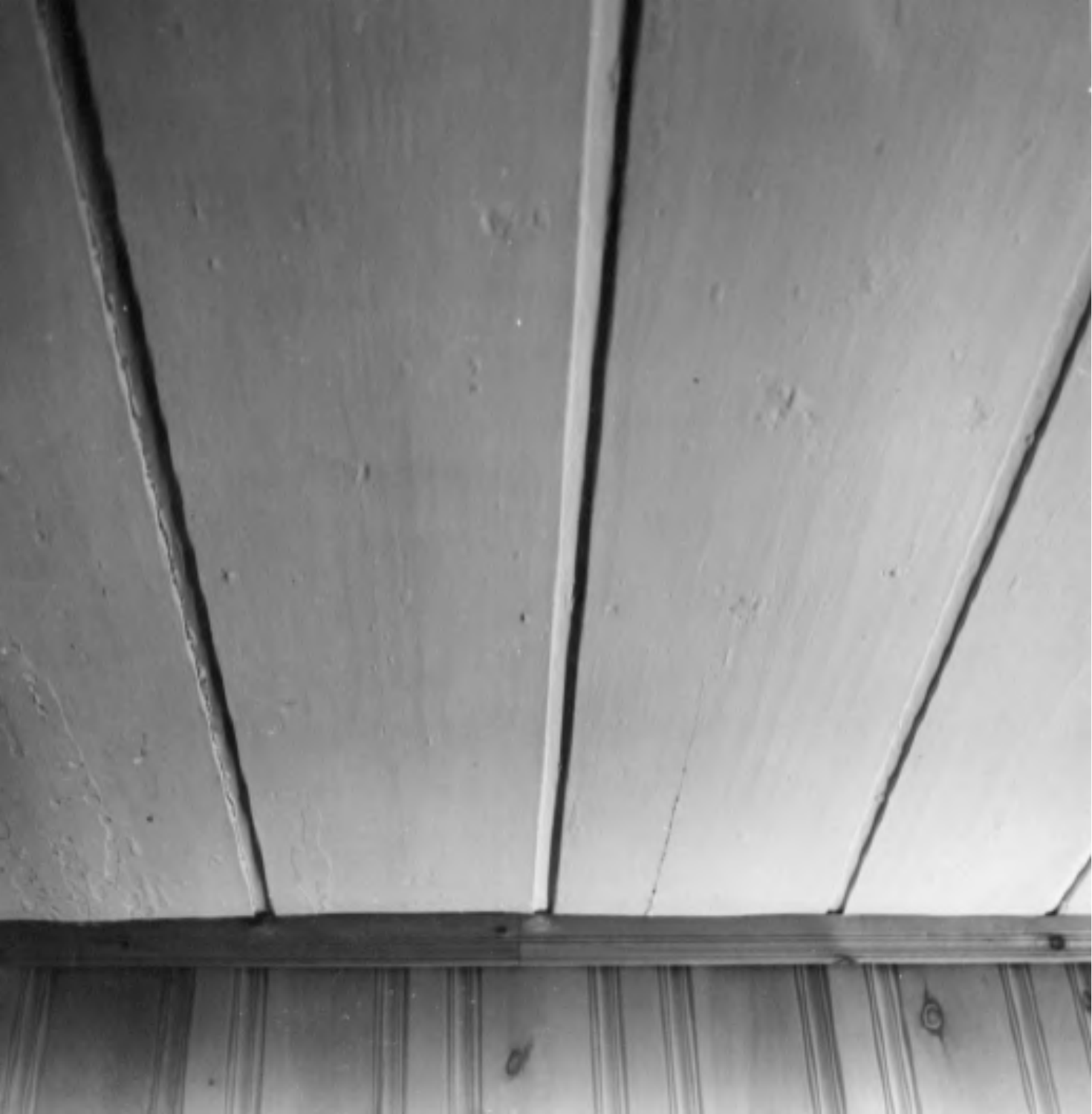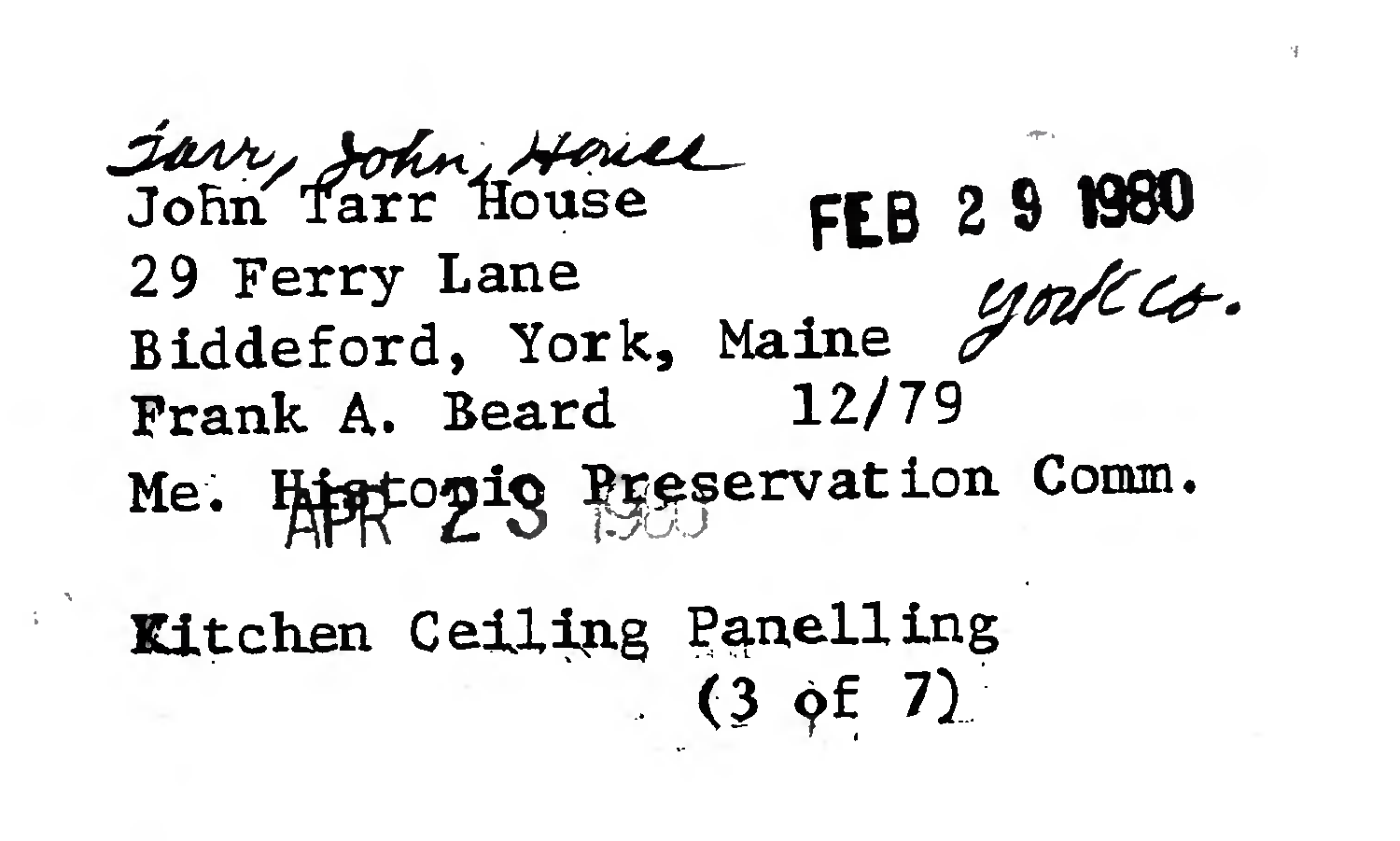*Jarr, John, House* FEB 29 1980 york co. 29 Ferry Lane Biddeford, York, Maine 12/79 Frank A. Beard Me. Historic Preservation Comm. Kitchen Ceiling Panelling  $(3 \text{ of } 7)$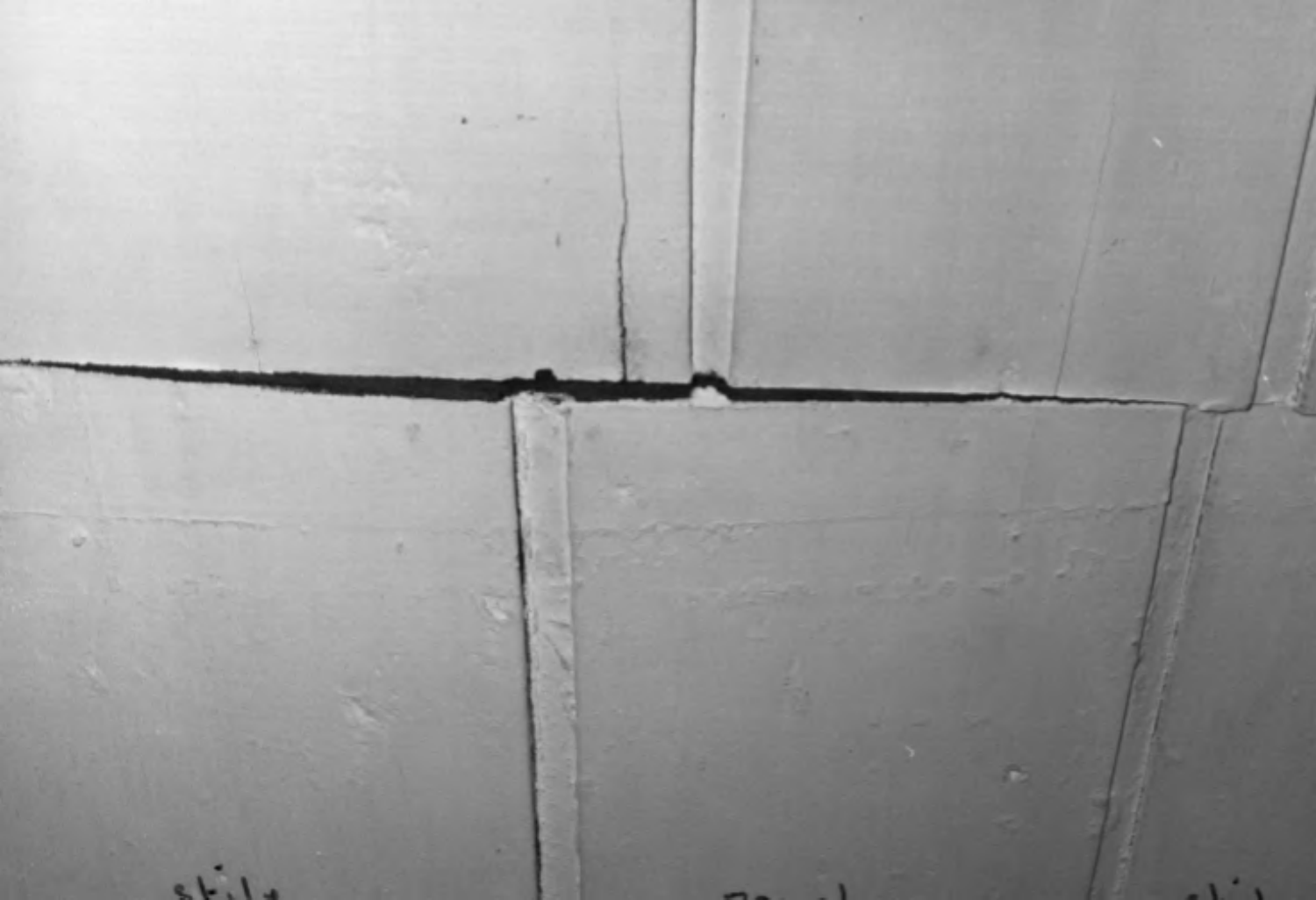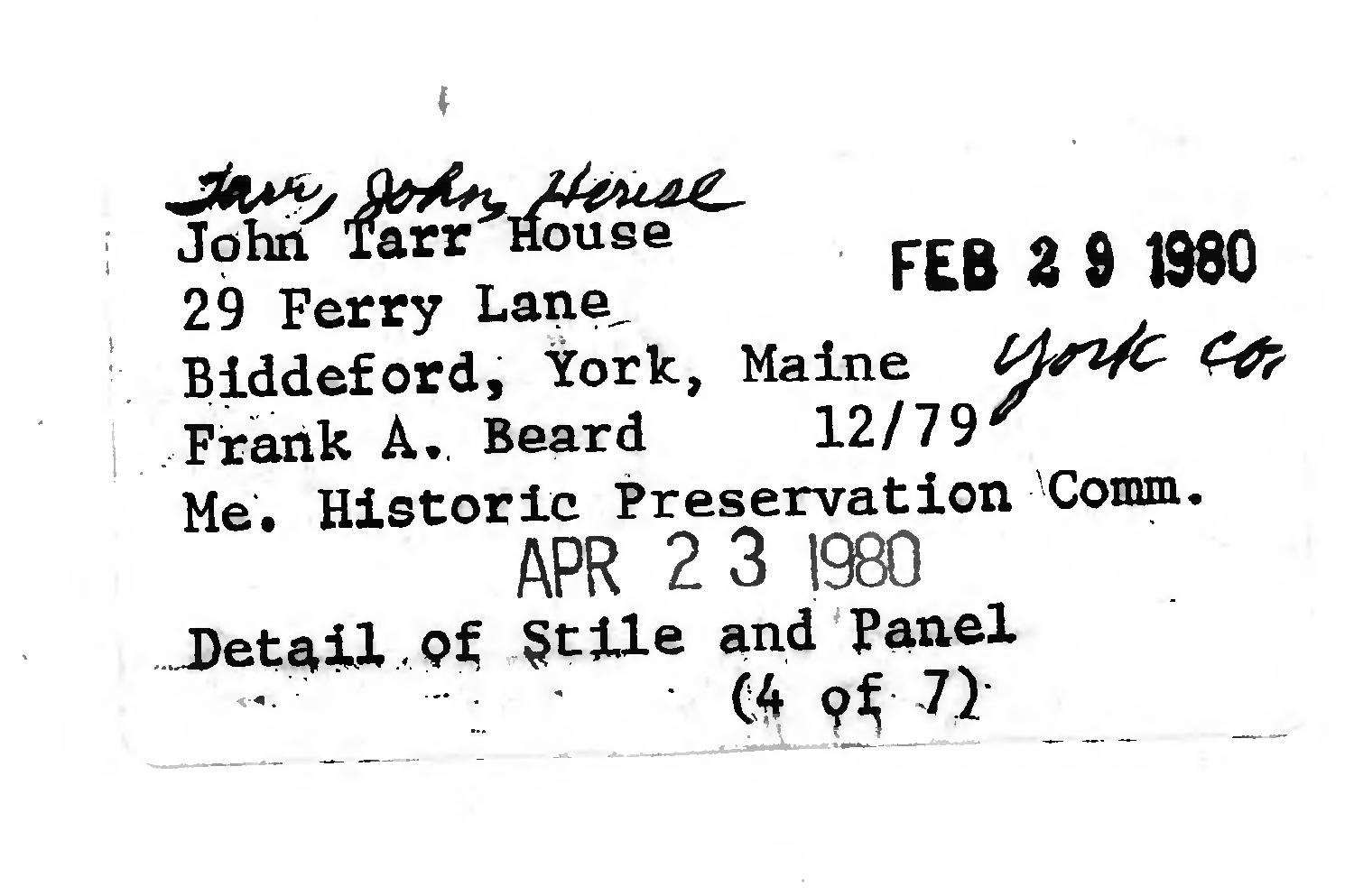Javy John House FEB 2 9 1980 29 Ferry Lane Biddeford, York, Maine york co.  $12/79$ Frank A. Beard Me. Historic Preservation Comm. APR 2 3 1980 Detail of Stile and Panel  $(4 of 7)$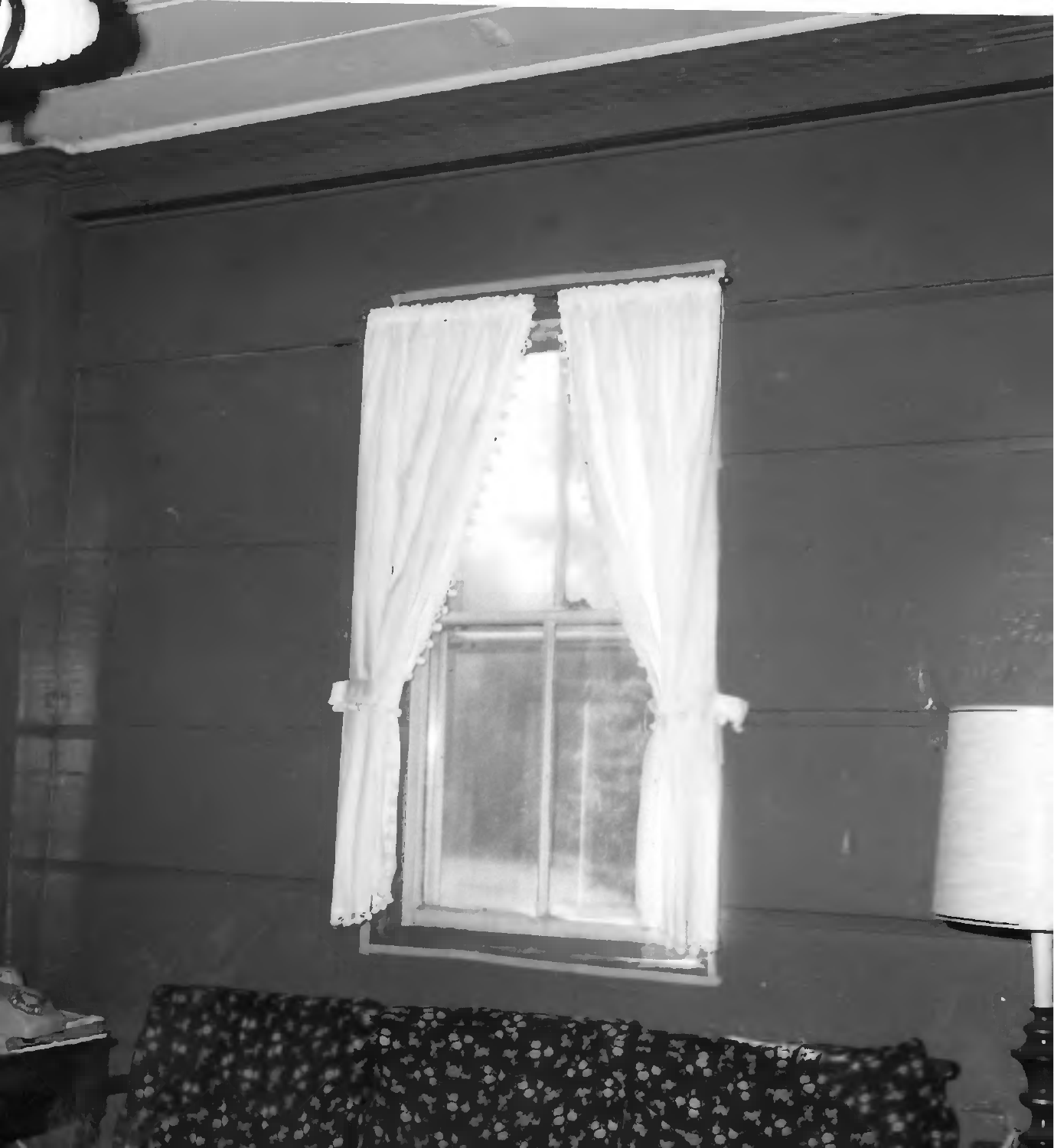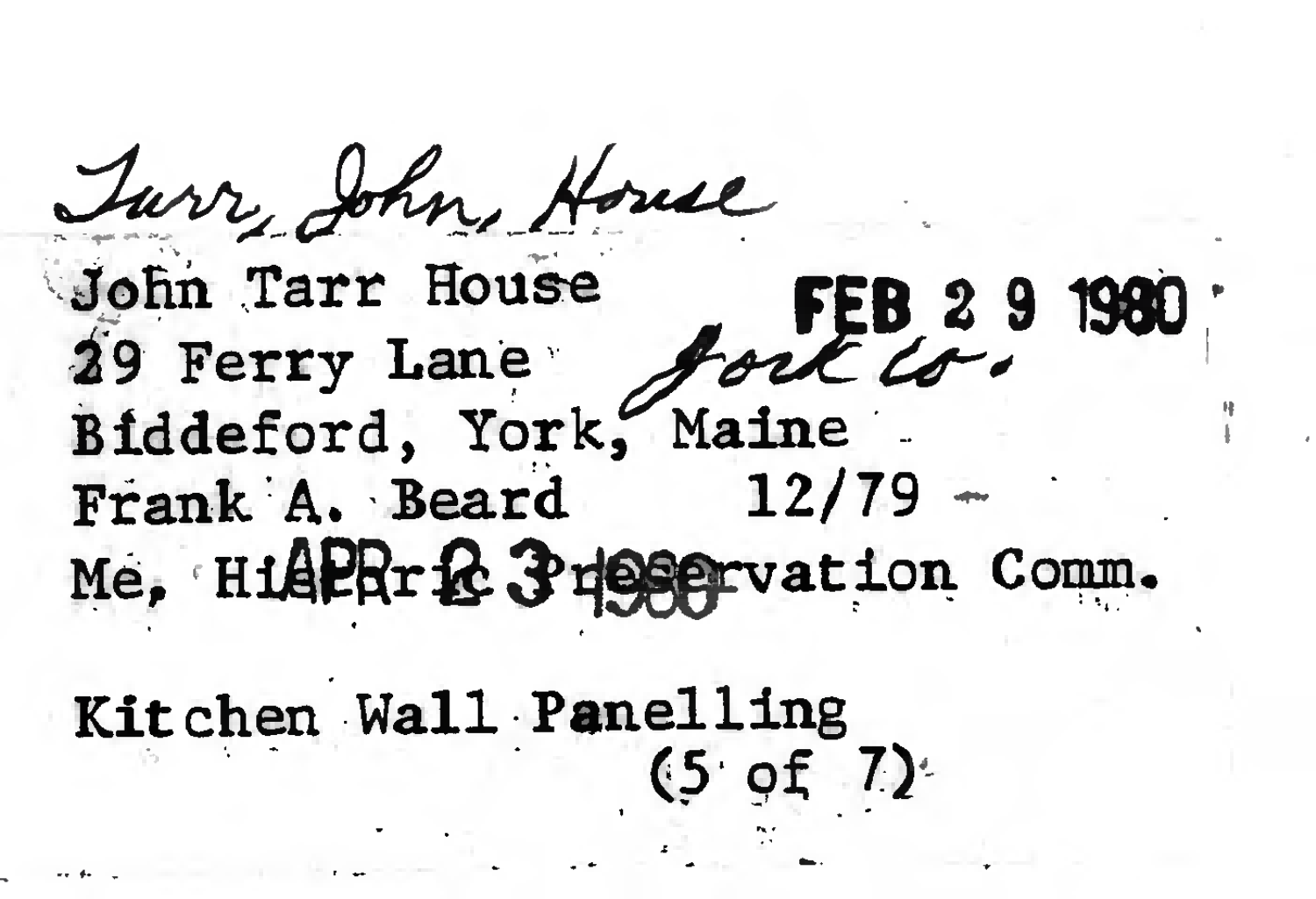Turr, John, House

John Tarr House FEB 29 1980 29 Ferry Lane Biddeford, York, Maine  $12/79 -$ Frank A. Beard Me, HillPRr & 3 riesprvation Comm.

Kitchen Wall Panelling  $(5 \text{ of } 7)$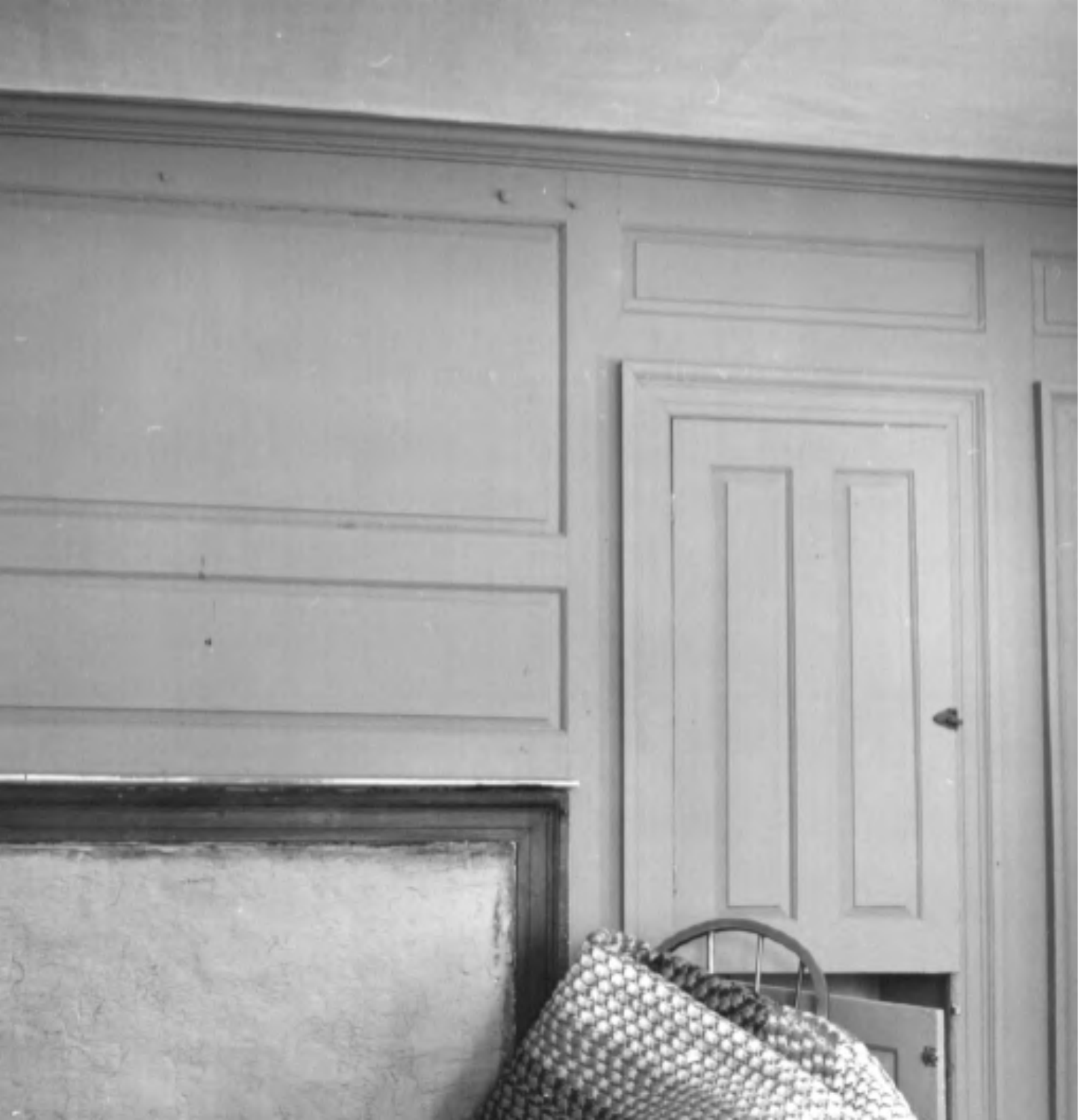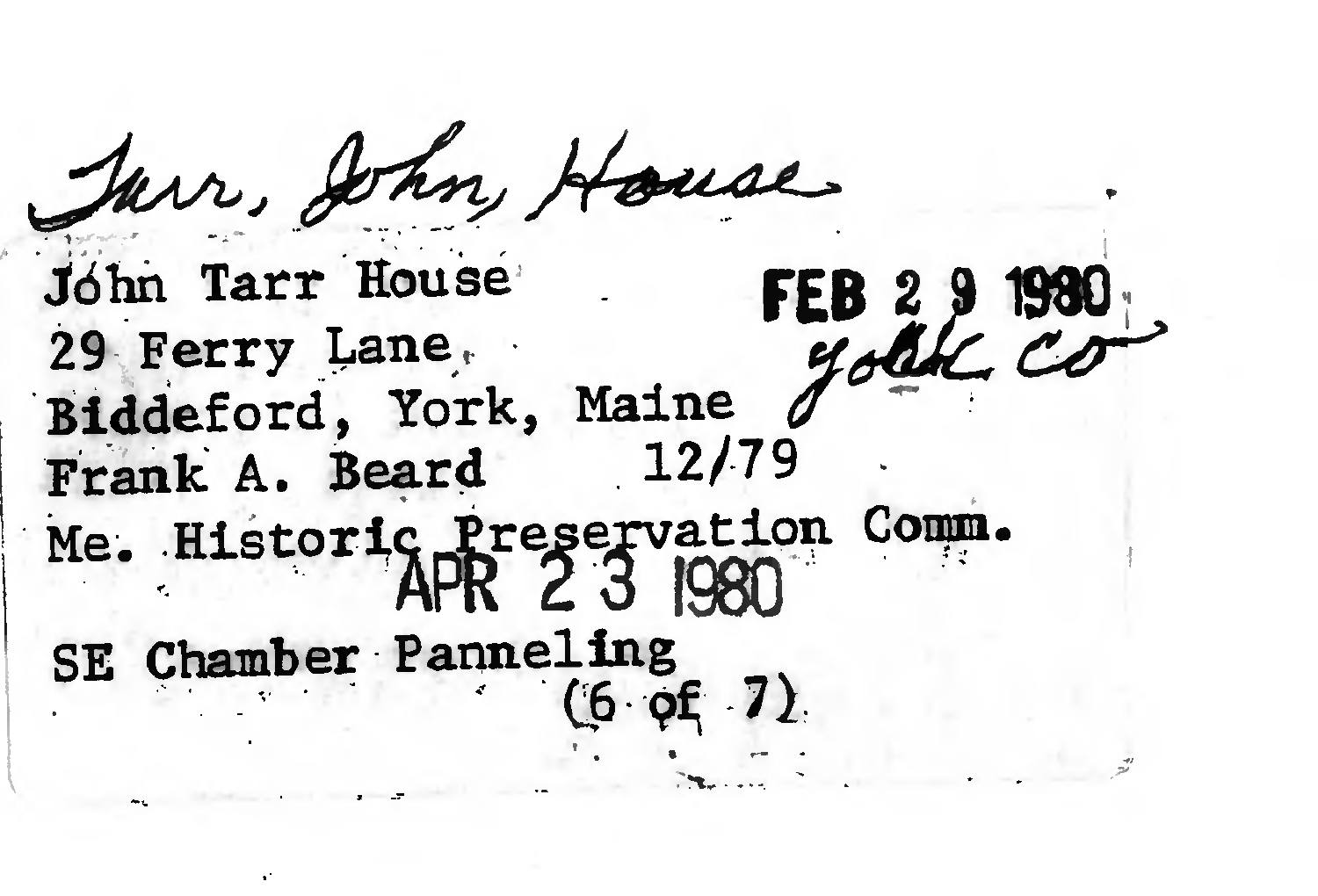Jarr, John, House

John Tarr House FEB 2 9 1980 29 Ferry Lane. Biddeford, York, Maine  $\mu$ <br>Frank A. Beard 12/79 Frank A. Beard Me. Historic Preservation Conm. APR 23 I960 SE Chamber Panneling  $(6$  of 7).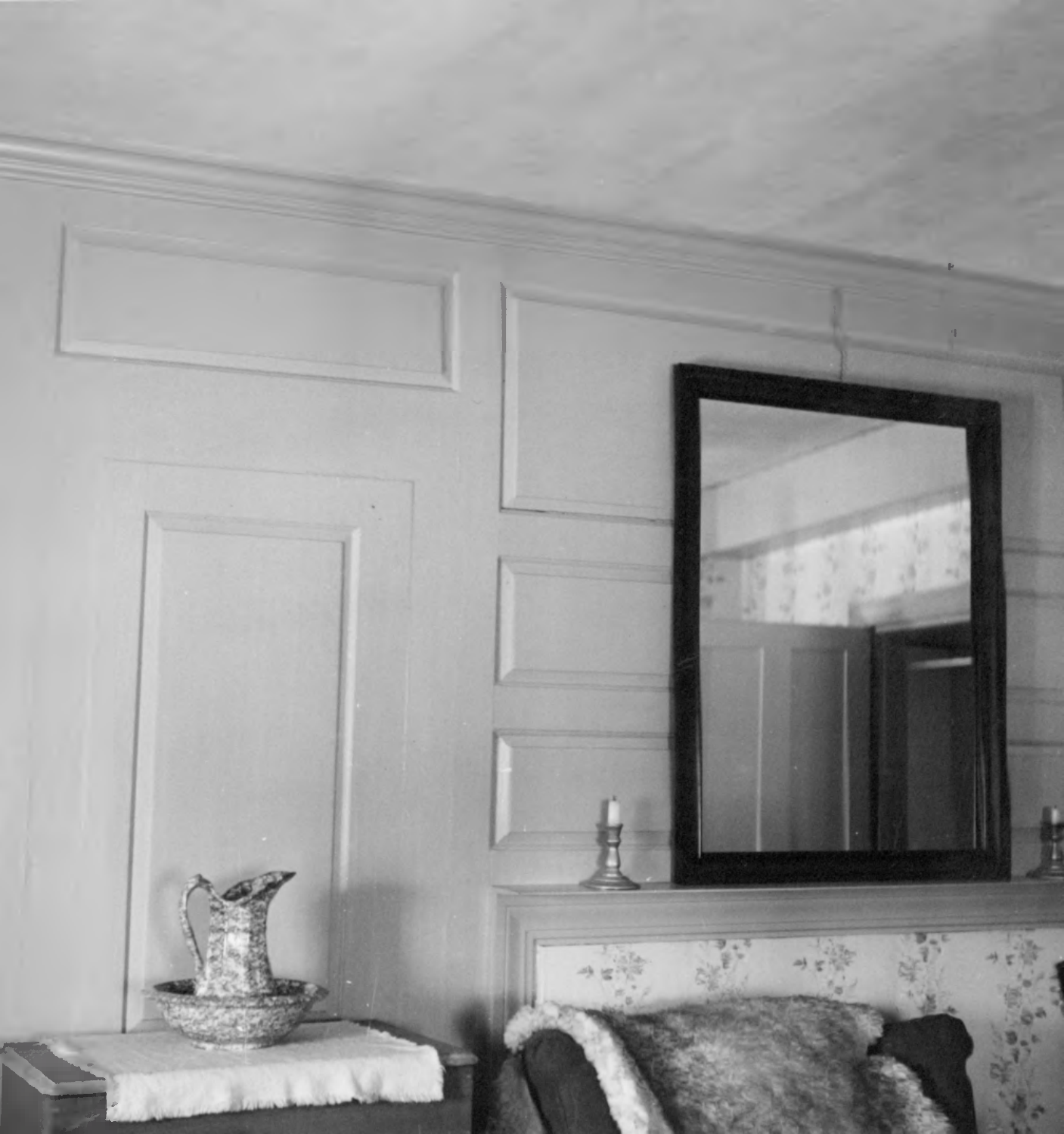